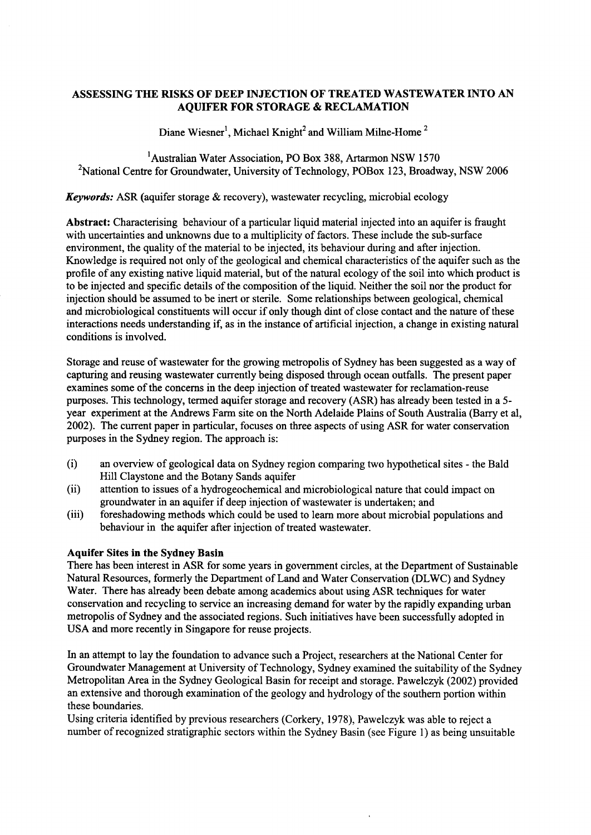# ASSESSING THE RISKS OF DEEP INJECTION OF TREATED WASTEWATER INTO AN AQUIFER FOR STORAGE & RECLAMATION

Diane Wiesner<sup>1</sup>, Michael Knight<sup>2</sup> and William Milne-Home<sup>2</sup>

# 'Australian Water Association, PO Box 388, Artarmon NSW 1570 <sup>2</sup>National Centre for Groundwater, University of Technology, POBox 123, Broadway, NSW 2006

*Keywords:* ASR (aquifer storage & recovery), wastewater recycling, microbial ecology

Abstract: Characterising behaviour of a particular liquid material injected into an aquifer is fraught with uncertainties and unknowns due to a multiplicity of factors. These include the sub-surface environment, the quality of the material to be injected, its behaviour during and after injection. Knowledge is required not only of the geological and chemical characteristics of the aquifer such as the profile of any existing native liquid material, but of the natural ecology of the soil into which product is to be injected and specific details of the composition of the liquid. Neither the soil nor the product for injection should be assumed to be inert or sterile. Some relationships between geological, chemical and microbiological constituents will occur if only though dint of close contact and the nature of these interactions needs understanding if, as in the instance of artificial injection, a change in existing natural conditions is involved.

Storage and reuse of wastewater for the growing metropolis of Sydney has been suggested as a way of capturing and reusing wastewater currently being disposed through ocean outfalls. The present paper examines some of the concerns in the deep injection of treated wastewater for reclamation-reuse purposes. This technology, termed aquifer storage and recovery (ASR) has already been tested in a 5 year experiment at the Andrews Farm site on the North Adelaide Plains of South Australia (Barry et al, 2002). The current paper in particular, focuses on three aspects of using ASR for water conservation purposes in the Sydney region. The approach is:

- (i) an overview of geological data on Sydney region comparing two hypothetical sites the Bald Hill Claystone and the Botany Sands aquifer
- (ii) attention to issues of a hydrogeochemical and microbiological nature that could impact on groundwater in an aquifer if deep injection of wastewater is undertaken; and
- (iii) foreshadowing methods which could be used to learn more about microbial populations and behaviour in the aquifer after injection of treated wastewater.

### Aquifer Sites in the Sydney Basin

There has been interest in ASR for some years in government circles, at the Department of Sustainable Natural Resources, formerly the Department of Land and Water Conservation (DLWC) and Sydney Water. There has already been debate among academics about using ASR techniques for water conservation and recycling to service an increasing demand for water by the rapidly expanding urban metropolis of Sydney and the associated regions. Such initiatives have been successfully adopted in USA and more recently in Singapore for reuse projects.

In an attempt to lay the foundation to advance such a Project, researchers at the National Center for Groundwater Management at University of Technology, Sydney examined the suitability of the Sydney Metropolitan Area in the Sydney Geological Basin for receipt and storage. Pawelczyk (2002) provided an extensive and thorough examination of the geology and hydrology of the southern portion within these boundaries.

Using criteria identified by previous researchers (Corkery, 1978), Pawelczyk was able to reject a number of recognized stratigraphic sectors within the Sydney Basin (see Figure 1) as being unsuitable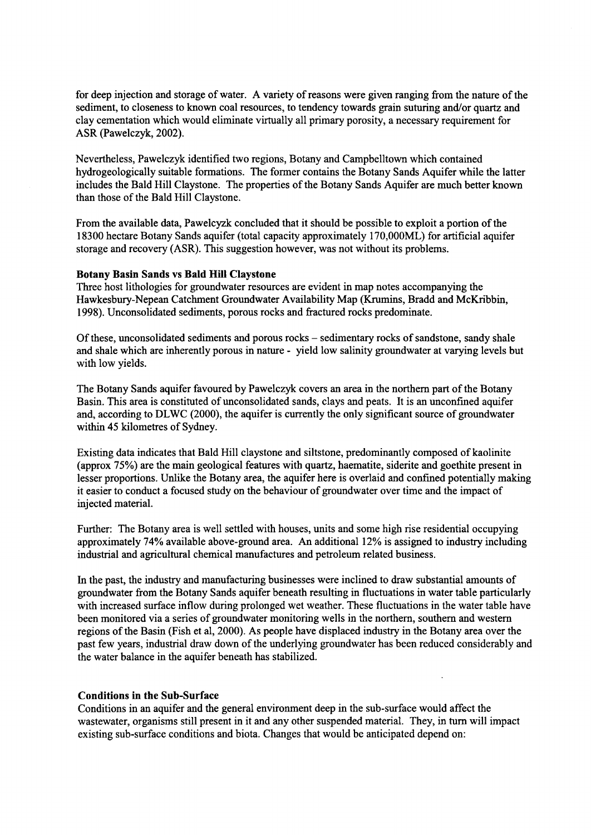for deep injection and storage of water. A variety of reasons were given ranging from the nature of the sediment, to closeness to known coal resources, to tendency towards grain suturing and/or quartz and clay cementation which would eliminate virtually all primary porosity, a necessary requirement for ASR (pawelczyk, 2002).

Nevertheless, Pawelczyk identified two regions, Botany and Campbelltown which contained hydrogeologically suitable formations. The former contains the Botany Sands Aquifer while the latter includes the Bald Hill Claystone. The properties of the Botany Sands Aquifer are much better known than those of the Bald Hill Claystone.

From the available data, Pawelcyzk concluded that it should be possible to exploit a portion of the 18300 hectare Botany Sands aquifer (total capacity approximately 170,000ML) for artificial aquifer storage and recovery (ASR). This suggestion however, was not without its problems.

### **Botany Basin Sands vs Bald Hill Claystone**

Three host lithologies for groundwater resources are evident in map notes accompanying the Hawkesbury-Nepean Catchment Groundwater Availability Map (Krumins, Bradd and McKribbin, 1998). Unconsolidated sediments, porous rocks and fractured rocks predominate.

Of these, unconsolidated sediments and porous rocks - sedimentary rocks of sandstone, sandy shale and shale which are inherently porous in nature - yield low salinity groundwater at varying levels but with low yields.

The Botany Sands aquifer favoured by Pawelczyk covers an area in the northern part of the Botany Basin. This area is constituted of unconsolidated sands, clays and peats. It is an unconfmed aquifer and, according to DLWC (2000), the aquifer is currently the only significant source of groundwater within 45 kilometres of Sydney.

Existing data indicates that Bald Hill claystone and siltstone, predominantly composed of kaolinite (approx 75%) are the main geological features with quartz, haematite, siderite and goethite present in lesser proportions. Unlike the Botany area, the aquifer here is overlaid and confmed potentially making it easier to conduct a focused study on the behaviour of groundwater over time and the impact of injected material.

Further: The Botany area is well settled with houses, units and some high rise residential occupying approximately 74% available above-ground area. An additional 12% is assigned to industry including industrial and agricultural chemical manufactures and petroleum related business.

In the past, the industry and manufacturing businesses were inclined to draw substantial amounts of groundwater from the Botany Sands aquifer beneath resulting in fluctuations in water table particularly with increased surface inflow during prolonged wet weather. These fluctuations in the water table have been monitored via a series of groundwater monitoring wells in the northern, southern and western regions of the Basin (Fish et aI, 2000). As people have displaced industry in the Botany area over the past few years, industrial draw down of the underlying groundwater has been reduced considerably and the water balance in the aquifer beneath has stabilized.

#### **Conditions in the Sub-Surface**

Conditions in an aquifer and the general environment deep in the sub-surface would affect the wastewater, organisms still present in it and any other suspended material. They, in tum will impact existing sub-surface conditions and biota. Changes that would be anticipated depend on: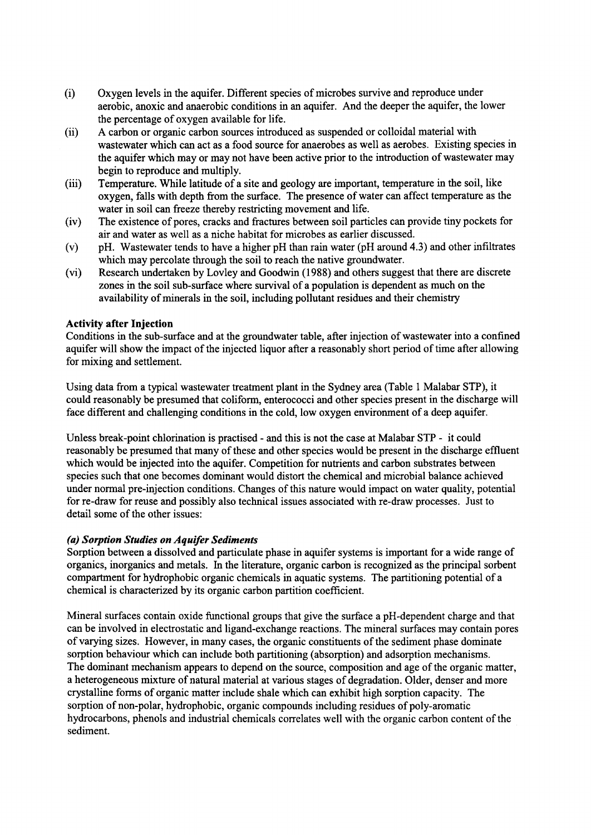- (i) Oxygen levels in the aquifer. Different species of microbes survive and reproduce under aerobic, anoxic and anaerobic conditions in an aquifer. And the deeper the aquifer, the lower the percentage of oxygen available for life.
- (ii) A carbon or organic carbon sources introduced as suspended or colloidal material with wastewater which can act as a food source for anaerobes as well as aerobes. Existing species in the aquifer which mayor may not have been active prior to the introduction of wastewater may begin to reproduce and multiply.
- (iii) Temperature. While latitude of a site and geology are important, temperature in the soil, like oxygen, falls with depth from the surface. The presence of water can affect temperature as the water in soil can freeze thereby restricting movement and life.
- (iv) The existence of pores, cracks and fractures between soil particles can provide tiny pockets for air and water as well as a niche habitat for microbes as earlier discussed.
- (v) pH. Wastewater tends to have a higher pH than rain water (pH around 4.3) and other infiltrates which may percolate through the soil to reach the native groundwater.
- (vi) Research undertaken by Lovley and Goodwin (1988) and others suggest that there are discrete zones in the soil sub-surface where survival of a population is dependent as much on the availability of minerals in the soil, including pollutant residues and their chemistry

### Activity after Injection

Conditions in the sub-surface and at the groundwater table, after injection of wastewater into a confined aquifer will show the impact of the injected liquor after a reasonably short period of time after allowing for mixing and settlement.

Using data from a typical wastewater treatment plant in the Sydney area (Table 1 Malabar STP), it could reasonably be presumed that coliform, enterococci and other species present in the discharge will face different and challenging conditions in the cold, low oxygen environment of a deep aquifer.

Unless break-point chlorination is practised - and this is not the case at Malabar STP - it could reasonably be presumed that many of these and other species would be present in the discharge effluent which would be injected into the aquifer. Competition for nutrients and carbon substrates between species such that one becomes dominant would distort the chemical and microbial balance achieved under normal pre-injection conditions. Changes of this nature would impact on water quality, potential for re-draw for reuse and possibly also technical issues associated with re-draw processes. Just to detail some of the other issues:

### *{a)Sorption Studies on Aquifer Sediments*

Sorption between a dissolved and particulate phase in aquifer systems is important for a wide range of organics, inorganics and metals. In the literature, organic carbon is recognized as the principal sorbent compartment for hydrophobic organic chemicals in aquatic systems. The partitioning potential of a chemical is characterized by its organic carbon partition coefficient.

Mineral surfaces contain oxide functional groups that give the surface a pH-dependent charge and that can be involved in electrostatic and ligand-exchange reactions. The mineral surfaces may contain pores of varying sizes. However, in many cases, the organic constituents of the sediment phase dominate sorption behaviour which can include both partitioning (absorption) and adsorption mechanisms. The dominant mechanism appears to depend on the source, composition and age of the organic matter, a heterogeneous mixture of natural material at various stages of degradation. Older, denser and more crystalline forms of organic matter include shale which can exhibit high sorption capacity. The sorption of non-polar, hydrophobic, organic compounds including residues of poly-aromatic hydrocarbons, phenols and industrial chemicals correlates well with the organic carbon content of the sediment.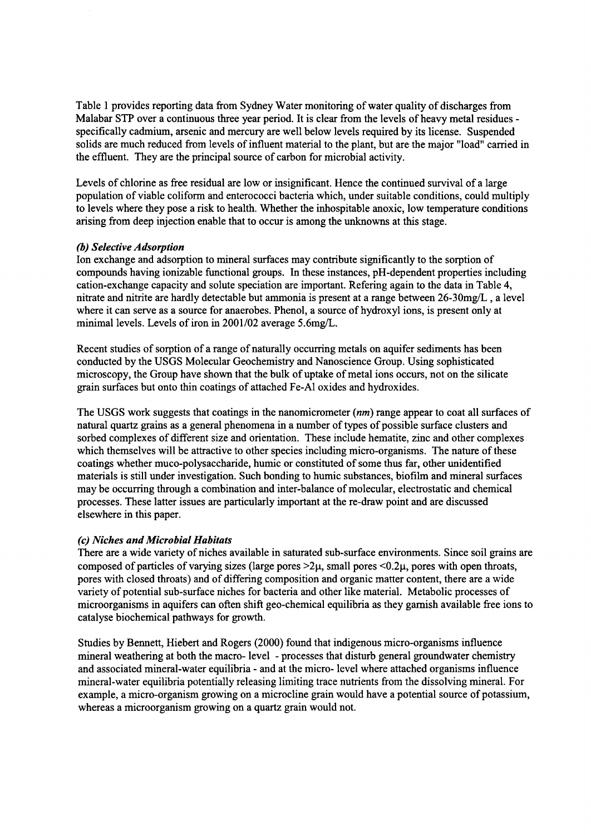Table 1 provides reporting data from Sydney Water monitoring of water quality of discharges from Malabar STP over a continuous three year period. It is clear from the levels of heavy metal residues specifically cadmium, arsenic and mercury are well below levels required by its license. Suspended solids are much reduced from levels of influent material to the plant, but are the major "load" carried in the effluent. They are the principal source of carbon for microbial activity.

Levels of chlorine as free residual are low or insignificant. Hence the continued survival of a large population of viable coliform and enterococci bacteria which, under suitable conditions, could multiply to levels where they pose a risk to health. Whether the inhospitable anoxic, low temperature conditions arising from deep injection enable that to occur is among the unknowns at this stage.

### *(b) Selective Adsorption*

Ion exchange and adsorption to mineral surfaces may contribute significantly to the sorption of compounds having ionizable functional groups. In these instances, pH-dependent properties including cation-exchange capacity and solute speciation are important. Refering again to the data in Table 4, nitrate and nitrite are hardly detectable but ammonia is present at a range between 26-30mg/L , a level where it can serve as a source for anaerobes. Phenol, a source of hydroxyl ions, is present only at minimal levels. Levels of iron in *2001/02* average 5.6mg/L.

Recent studies of sorption of a range of naturally occurring metals on aquifer sediments has been conducted by the USGS Molecular Geochemistry and Nanoscience Group. Using sophisticated microscopy, the Group have shown that the bulk of uptake of metal ions occurs, not on the silicate grain surfaces but onto thin coatings of attached Fe-AI oxides and hydroxides.

The USGS work suggests that coatings in the nanomicrometer *(nm)* range appear to coat all surfaces of natural quartz grains as a general phenomena in a number of types of possible surface clusters and sorbed complexes of different size and orientation. These include hematite, zinc and other complexes which themselves will be attractive to other species including micro-organisms. The nature of these coatings whether muco-polysaccharide, humic or constituted of some thus far, other unidentified materials is still under investigation. Such bonding to humic substances, biofilm and mineral surfaces may be occurring through a combination and inter-balance of molecular, electrostatic and chemical processes. These latter issues are particularly important at the re-draw point and are discussed elsewhere in this paper.

# *(c) Niches and Microbial Habitats*

There are a wide variety of niches available in saturated sub-surface environments. Since soil grains are composed of particles of varying sizes (large pores  $>2\mu$ , small pores  $<0.2\mu$ , pores with open throats, pores with closed throats) and of differing composition and organic matter content, there are a wide variety of potential sub-surface niches for bacteria and other like material. Metabolic processes of microorganisms in aquifers can often shift geo-chemical equilibria as they garnish available free ions to catalyse biochemical pathways for growth.

Studies by Bennett, Hiebert and Rogers (2000) found that indigenous micro-organisms influence mineral weathering at both the macro- level - processes that disturb general groundwater chemistry and associated mineral-water equilibria - and at the micro- level where attached organisms influence mineral-water equilibria potentially releasing limiting trace nutrients from the dissolving mineral. For example, a micro-organism growing on a microcline grain would have a potential source of potassium, whereas a microorganism growing on a quartz grain would not.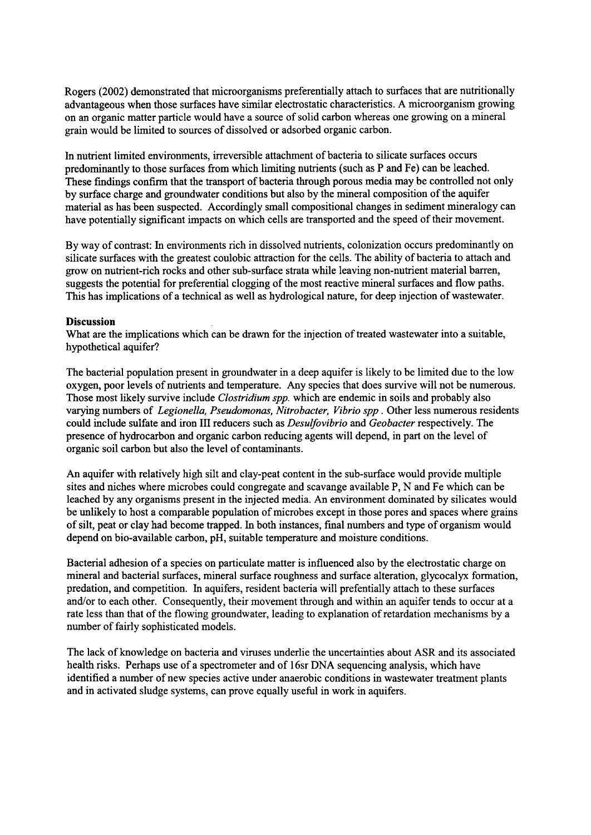Rogers (2002) demonstrated that microorganisms preferentially attach to surfaces that are nutritionally advantageous when those surfaces have similar electrostatic characteristics. A microorganism growing on an organic matter particle would have a source of solid carbon whereas one growing on a mineral grain would be limited to sources of dissolved or adsorbed organic carbon.

In nutrient limited environments, irreversible attachment of bacteria to silicate surfaces occurs predominantly to those surfaces from which limiting nutrients (such as P and Fe) can be leached. These fmdings confirm that the transport of bacteria through porous media may be controlled not only by surface charge and groundwater conditions but also by the mineral composition of the aquifer material as has been suspected. Accordingly small compositional changes in sediment mineralogy can have potentially significant impacts on which cells are transported and the speed of their movement.

By way of contrast: In environments rich in dissolved nutrients, colonization occurs predominantly on silicate surfaces with the greatest coulobic attraction for the cells. The ability of bacteria to attach and grow on nutrient-rich rocks and other sub-surface strata while leaving non-nutrient material barren, suggests the potential for preferential clogging of the most reactive mineral surfaces and flow paths. This has implications of a technical as well as hydrological nature, for deep injection of wastewater.

### **Discussion**

What are the implications which can be drawn for the injection of treated wastewater into a suitable, hypothetical aquifer?

The bacterial population present in groundwater in a deep aquifer is likely to be limited due to the low oxygen, poor levels of nutrients and temperature. Any species that does survive will not be numerous. Those most likely survive include *Clostridium spp.* which are endemic in soils and probably also varying numbers of *Legionella, Pseudomonas, Nitrobacter, Vibrio spp .* Other less numerous residents could include sulfate and iron III reducers such as *Desulfovibrio* and *Geobacter* respectively. The presence of hydrocarbon and organic carbon reducing agents will depend, in part on the level of organic soil carbon but also the level of contaminants.

An aquifer with relatively high silt and clay-peat content in the sub-surface would provide multiple sites and niches where microbes could congregate and scavange available P, N and Fe which can be leached by any organisms present in the injected media. An environment dominated by silicates would be unlikely to host a comparable population of microbes except in those pores and spaces where grains of silt, peat or clay had become trapped. In both instances, fmal numbers and type of organism would depend on bio-available carbon, pH, suitable temperature and moisture conditions.

Bacterial adhesion of a species on particulate matter is influenced also by the electrostatic charge on mineral and bacterial surfaces, mineral surface roughness and surface alteration, glycocalyx formation, predation, and competition. In aquifers, resident bacteria will prefentially attach to these surfaces and/or to each other. Consequently, their movement through and within an aquifer tends to occur at a rate less than that of the flowing groundwater, leading to explanation of retardation mechanisms by a number of fairly sophisticated models.

The lack of knowledge on bacteria and viruses underlie the uncertainties about ASR and its associated health risks. Perhaps use of a spectrometer and of 16sr DNA sequencing analysis, which have identified a number of new species active under anaerobic conditions in wastewater treatment plants and in activated sludge systems, can prove equally useful in work in aquifers.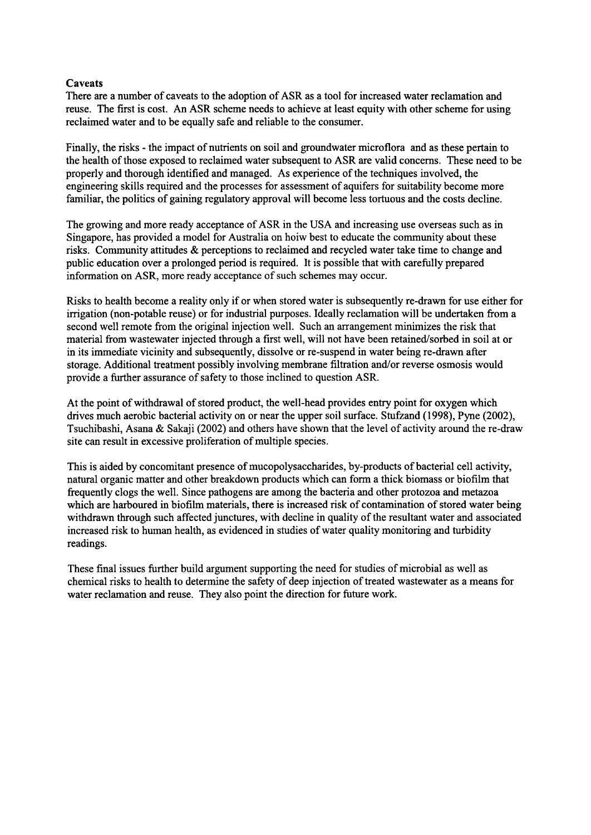### **Caveats**

There are a number of caveats to the adoption of ASR as a tool for increased water reclamation and reuse. The first is cost. An ASR scheme needs to achieve at least equity with other scheme for using reclaimed water and to be equally safe and reliable to the consumer.

Finally, the risks - the impact of nutrients on soil and groundwater microflora and as these pertain to the health of those exposed to reclaimed water subsequent to ASR are valid concerns. These need to be properly and thorough identified and managed. As experience of the techniques involved, the engineering skills required and the processes for assessment of aquifers for suitability become more familiar, the politics of gaining regulatory approval will become less tortuous and the costs decline.

The growing and more ready acceptance of ASR in the USA and increasing use overseas such as in Singapore, has provided a model for Australia on hoiw best to educate the community about these risks. Community attitudes & perceptions to reclaimed and recycled water take time to change and public education over a prolonged period is required. It is possible that with carefully prepared information on ASR, more ready acceptance of such schemes may occur.

Risks to health become a reality only if or when stored water is subsequently re-drawn for use either for irrigation (non-potable reuse) or for industrial purposes. Ideally reclamation will be undertaken from a second well remote from the original injection well. Such an arrangement minimizes the risk that material from wastewater injected through a first well, will not have been retained/sorbed in soil at or in its immediate vicinity and subsequently, dissolve or re-suspend in water being re-drawn after storage. Additional treatment possibly involving membrane filtration and/or reverse osmosis would provide a further assurance of safety to those inclined to question ASR.

At the point of withdrawal of stored product, the well-head provides entry point for oxygen which drives much aerobic bacterial activity on or near the upper soil surface. Stufzand (1998), Pyne (2002), Tsuchibashi, Asana & Sakaji (2002) and others have shown that the level of activity around the re-draw site can result in excessive proliferation of multiple species.

This is aided by concomitant presence of mucopolysaccharides, by-products of bacterial cell activity, natural organic matter and other breakdown products which can form a thick biomass or biofilm that frequently clogs the well. Since pathogens are among the bacteria and other protozoa and metazoa which are harboured in biofilm materials, there is increased risk of contamination of stored water being withdrawn through such affected junctures, with decline in quality of the resultant water and associated increased risk to human health, as evidenced in studies of water quality monitoring and turbidity readings.

These final issues further build argument supporting the need for studies of microbial as well as chemical risks to health to determine the safety of deep injection of treated wastewater as a means for water reclamation and reuse. They also point the direction for future work.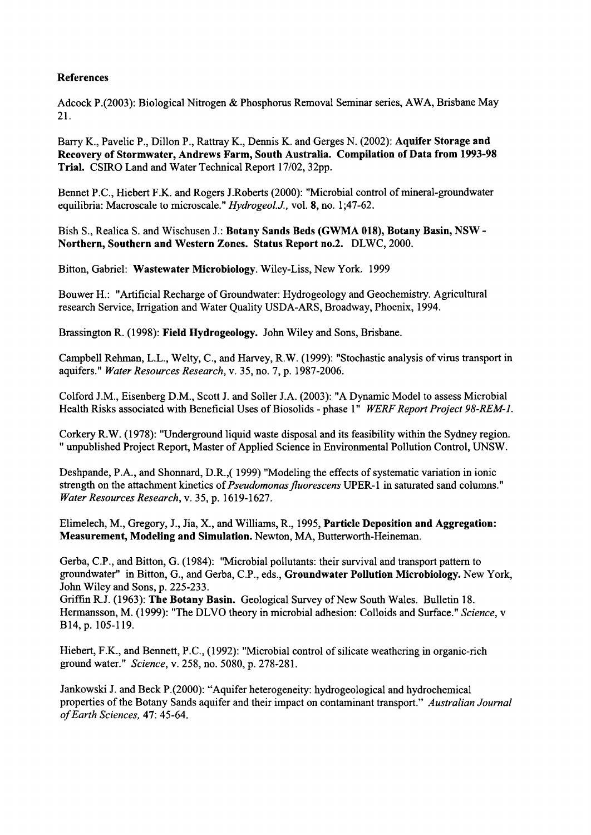# References

Adcock P.(2003): Biological Nitrogen & Phosphorus Removal Seminar series, AWA, Brisbane May 21.

Barry K., Pavelic P., Dillon P., Rattray K., Dennis K. and Gerges N. (2002): Aquifer Storage and Recovery of Stormwater, Andrews Farm, South Australia. Compilation of Data from 1993-98 Trial. CSIRO Land and Water Technical Report 17/02, 32pp.

Bennet P.C., Hiebert F.K. and Rogers J.Roberts (2000): "Microbial control of mineral-groundwater equilibria: Macroscale to microscale." *Hydrogeol.J.,* vol. 8, no. 1;47-62.

Bish S., Realica S. and Wischusen J.: Botany Sands Beds (GWMA 018), Botany Basin, NSW-Northern, Southern and Western Zones. Status Report no.2. DLWC,2000.

Bitton, Gabriel: Wastewater Microbiology. Wiley-Liss, New York. 1999

Bouwer H.: "Artificial Recharge of Groundwater: Hydrogeology and Geochemistry. Agricultural research Service, Irrigation and Water Quality USDA-ARS, Broadway, Phoenix, 1994.

Brassington R. (1998): Field Hydrogeology. John Wiley and Sons, Brisbane.

Campbell Rehman, L.L., Welty, C., and Harvey, R.W. (1999): "Stochastic analysis of virus transport in aquifers." *Water Resources Research,* v. 35, no. 7, p. 1987-2006.

Colford J.M., Eisenberg D.M., Scott J. and Soller J.A. (2003): "A Dynamic Model to assess Microbial Health Risks associated with Beneficial Uses of Biosolids - phase 1" WERF Report Project 98-REM-1.

Corkery R.W. (1978): "Underground liquid waste disposal and its feasibility within the Sydney region. "unpublished Project Report, Master of Applied Science in Environmental Pollution Control, UNSW.

Deshpande, P.A., and Shonnard, D.R.,( 1999) "Modeling the effects of systematic variation in ionic strength on the attachment kinetics of *Pseudomonas j1uorescens* UPER-1 in saturated sand columns." *Water Resources Research,* v. 35, p. 1619-1627.

Elimelech, M., Gregory, J., Jia, X., and Williams, R., 1995, Particle Deposition and Aggregation: Measurement, Modeling and Simulation. Newton, MA, Butterworth-Heineman.

Gerba, C.P., and Bitton, G. (1984): "Microbial pollutants: their survival and transport pattern to groundwater" in Bitton, G., and Gerba, C.P., eds., Groundwater Pollution Microbiology. New York, John Wiley and Sons, p. 225-233.

Griffm R.J. (1963): The Botany Basin. Geological Survey of New South Wales. Bulletin 18. Hennansson, M. (1999): "The DLVO theory in microbial adhesion: Colloids and Surface." *Science,* v B14, p. 105-119.

Hiebert, F.K., and Bennett, P.C., (1992): "Microbial control of silicate weathering in organic-rich ground water." *Science,* v. 258, no. 5080, p. 278-281.

Jankowski J. and Beck P.(2000): "Aquifer heterogeneity: hydrogeological and hydrochemical properties of the Botany Sands aquifer and their impact on contaminant transport." *Australian Journal of Earth Sciences,* 47: 45-64.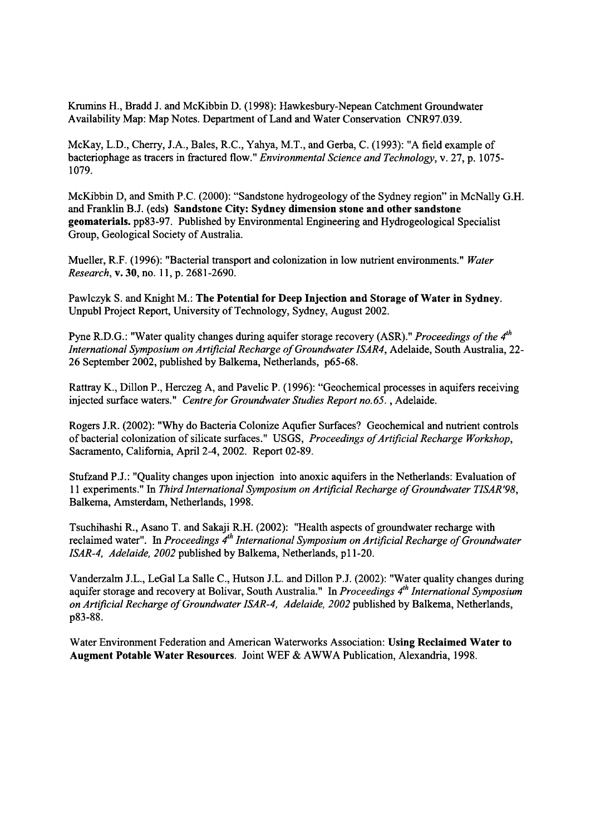Krumins H., Bradd J. and McKibbin D. (1998): Hawkesbury-Nepean Catchment Groundwater Availability Map: Map Notes. Department of Land and Water Conservation CNR97.039.

McKay, L.D., Cherry, J.A., Bales, R.C., Yahya, M.T., and Gerba, C. (1993): "A field example of bacteriophage as tracers in fractured flow." *Environmental Science and Technology,* v. 27, p. 1075- 1079.

McKibbin D, and Smith P.C. (2000): "Sandstone hydrogeology of the Sydney region" in McNally G.H. and Franklin B.J. (eds) **Sandstone City: Sydney dimension stone and other sandstone geomaterials.** pp83-97. Published by Environmental Engineering and Hydrogeological Specialist Group, Geological Society of Australia.

Mueller, R.F. (1996): "Bacterial transport and colonization in low nutrient environments." *Water Research,* v. 30, no. 11, p. 2681-2690.

Pawlczyk S. and Knight M.: **The Potential for Deep Injection and Storage** of Water **in** Sydney. Unpubl Project Report, University of Technology, Sydney, August 2002.

Pyne R.D.G.: "Water quality changes during aquifer storage recovery (ASR)." *Proceedings of the 4 th International Symposium on Artificial Recharge of Groundwater ISAR4,* Adelaide, South Australia, 22- 26 September 2002, published by Ba1kema, Netherlands, p65-68.

Rattray K., Dillon P., Herczeg A, and Pavelic P. (1996): "Geochemical processes in aquifers receiving injected surface waters." *Centre for Groundwater Studies Report no.* 65. ,Adelaide.

Rogers J.R. (2002): "Why do Bacteria Colonize Aqufier Surfaces? Geochemical and nutrient controls of bacterial colonization of silicate surfaces." USGS, *Proceedings of Artificial Recharge Workshop,* Sacramento, California, April 2-4, 2002. Report 02-89.

Stufzand P.J.: "Quality changes upon injection into anoxic aquifers in the Netherlands: Evaluation of 11 experiments." In *Third International Symposium on Artificial Recharge of Groundwater TISAR'98,* Balkema, Amsterdam, Netherlands, 1998.

Tsuchihashi R., Asano T. and Sakaji R.H. (2002): "Health aspects of groundwater recharge with reclaimed water". In *Proceedings* 4<sup>th</sup> International Symposium on Artificial Recharge of Groundwate *ISAR-4, Adelaide, 2002* published by Balkema, Netherlands, pll-20.

Vanderzalm J.L., LeGal La Salle C., Hutson J.L. and Dillon P.J. (2002): "Water quality changes during aquifer storage and recovery at Bolivar, South Australia." In *Proceedings 4 th International Symposium on Artificial Recharge of Groundwater ISAR-4, Adelaide, 2002* published by Balkema, Netherlands, p83-88.

Water Environment Federation and American Waterworks Association: **Using Reclaimed Water to Augment Potable Water Resources.** Joint WEF & AWWA Publication, Alexandria, 1998.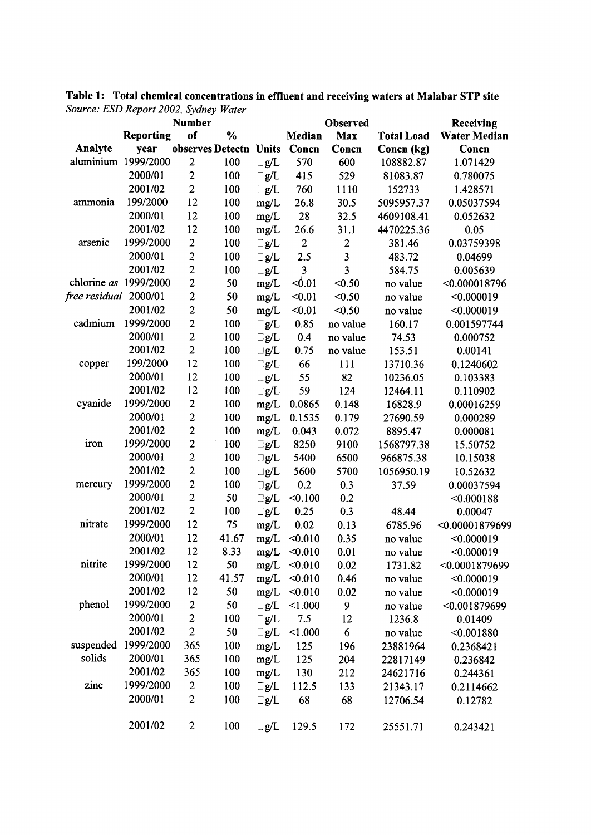|              |  | Table 1: Total chemical concentrations in effluent and receiving waters at Malabar STP site |  |  |  |
|--------------|--|---------------------------------------------------------------------------------------------|--|--|--|
| $\mathbf{r}$ |  |                                                                                             |  |  |  |

*Source: ESD Report 2002, Sydney Water*

|                       | <b>Number</b>    |                  |       | <b>Observed</b> |                |                         |                   | Receiving           |
|-----------------------|------------------|------------------|-------|-----------------|----------------|-------------------------|-------------------|---------------------|
|                       | <b>Reporting</b> | of               | $\%$  |                 | Median         | Max                     | <b>Total Load</b> | <b>Water Median</b> |
| Analyte               | year             | observes Detectn |       | <b>Units</b>    | Concn          | Concn                   | Concn (kg)        | Concn               |
| aluminium 1999/2000   |                  | $\overline{c}$   | 100   | $\Box$ g/L      | 570            | 600                     | 108882.87         | 1.071429            |
|                       | 2000/01          | $\overline{2}$   | 100   | $-g/L$          | 415            | 529                     | 81083.87          | 0.780075            |
|                       | 2001/02          | $\overline{2}$   | 100   | $-g/L$          | 760            | 1110                    | 152733            | 1.428571            |
| ammonia               | 199/2000         | 12               | 100   | mg/L            | 26.8           | 30.5                    | 5095957.37        | 0.05037594          |
|                       | 2000/01          | 12               | 100   | mg/L            | 28             | 32.5                    | 4609108.41        | 0.052632            |
|                       | 2001/02          | 12               | 100   | mg/L            | 26.6           | 31.1                    | 4470225.36        | 0.05                |
| arsenic               | 1999/2000        | $\overline{2}$   | 100   | $\Box$ g/L      | $\overline{2}$ | $\mathbf{2}$            | 381.46            | 0.03759398          |
|                       | 2000/01          | $\overline{c}$   | 100   | $\Box$ g/L      | 2.5            | $\overline{\mathbf{3}}$ | 483.72            | 0.04699             |
|                       | 2001/02          | $\overline{c}$   | 100   | $\square$ g/L   | 3              | $\overline{\mathbf{3}}$ | 584.75            | 0.005639            |
| chlorine as 1999/2000 |                  | $\overline{c}$   | 50    | mg/L            | < 0.01         | < 0.50                  | no value          | <0.000018796        |
| free residual 2000/01 |                  | $\overline{c}$   | 50    | mg/L            | $0.01$         | < 0.50                  | no value          | < 0.000019          |
|                       | 2001/02          | $\overline{2}$   | 50    | mg/L            | < 0.01         | < 0.50                  | no value          | < 0.000019          |
| cadmium               | 1999/2000        | $\overline{2}$   | 100   | $\square$ g/L   | 0.85           | no value                | 160.17            | 0.001597744         |
|                       | 2000/01          | $\overline{c}$   | 100   |                 | 0.4            |                         | 74.53             |                     |
|                       | 2001/02          | $\overline{c}$   |       | $\square$ g/L   |                | no value                |                   | 0.000752            |
|                       |                  |                  | 100   | $\square$ g/L   | 0.75           | no value                | 153.51            | 0.00141             |
| copper                | 199/2000         | 12               | 100   | $\square$ g/L   | 66             | 111                     | 13710.36          | 0.1240602           |
|                       | 2000/01          | 12               | 100   | $\square$ g/L   | 55             | 82                      | 10236.05          | 0.103383            |
|                       | 2001/02          | 12               | 100   | $\square$ g/L   | 59             | 124                     | 12464.11          | 0.110902            |
| cyanide               | 1999/2000        | $\overline{2}$   | 100   | mg/L            | 0.0865         | 0.148                   | 16828.9           | 0.00016259          |
|                       | 2000/01          | $\overline{2}$   | 100   | mg/L            | 0.1535         | 0.179                   | 27690.59          | 0.000289            |
|                       | 2001/02          | $\overline{2}$   | 100   | mg/L            | 0.043          | 0.072                   | 8895.47           | 0.000081            |
| iron                  | 1999/2000        | $\overline{2}$   | 100   | $\Box$ g/L      | 8250           | 9100                    | 1568797.38        | 15.50752            |
|                       | 2000/01          | $\overline{2}$   | 100   | $\Box$ g/L      | 5400           | 6500                    | 966875.38         | 10.15038            |
|                       | 2001/02          | $\overline{2}$   | 100   | $\Box$ g/L      | 5600           | 5700                    | 1056950.19        | 10.52632            |
| mercury               | 1999/2000        | $\overline{2}$   | 100   | $\Box$ g/L      | 0.2            | 0.3                     | 37.59             | 0.00037594          |
|                       | 2000/01          | $\overline{c}$   | 50    | $\Box$ g/L      | < 0.100        | 0.2                     |                   | < 0.000188          |
|                       | 2001/02          | $\overline{2}$   | 100   | $\square$ g/L   | 0.25           | 0.3                     | 48.44             | 0.00047             |
| nitrate               | 1999/2000        | 12               | 75    | mg/L            | 0.02           | 0.13                    | 6785.96           | <0.00001879699      |
|                       | 2000/01          | 12               | 41.67 | mg/L            | < 0.010        | 0.35                    | no value          | < 0.000019          |
|                       | 2001/02          | 12               | 8.33  | mg/L            | < 0.010        | 0.01                    | no value          | < 0.000019          |
| nitrite               | 1999/2000        | 12               | 50    | mg/L            | < 0.010        | 0.02                    | 1731.82           | <0.0001879699       |
|                       | 2000/01          | 12               | 41.57 | mg/L            | < 0.010        | 0.46                    | no value          | < 0.000019          |
|                       | 2001/02          | 12               | 50    | mg/L            | < 0.010        | 0.02                    | no value          | < 0.000019          |
| phenol                | 1999/2000        | 2                | 50    | $\Box$ g/L      | < 1.000        | 9                       | no value          | <0.001879699        |
|                       | 2000/01          | $\overline{c}$   | 100   | $\square$ g/L   | 7.5            | 12                      | 1236.8            | 0.01409             |
|                       | 2001/02          | $\overline{2}$   | 50    | $\square$ $g/L$ | < 1.000        | 6                       | no value          | <0.001880           |
| suspended             | 1999/2000        | 365              | 100   | mg/L            | 125            | 196                     | 23881964          | 0.2368421           |
| solids                | 2000/01          | 365              | 100   | mg/L            | 125            | 204                     | 22817149          |                     |
|                       | 2001/02          | 365              | 100   |                 |                |                         |                   | 0.236842            |
| zinc                  | 1999/2000        |                  |       | mg/L            | 130            | 212                     | 24621716          | 0.244361            |
|                       |                  | $\overline{c}$   | 100   | $\square$ g/L   | 112.5          | 133                     | 21343.17          | 0.2114662           |
|                       | 2000/01          | $\overline{c}$   | 100   | $\Box$ g/L      | 68             | 68                      | 12706.54          | 0.12782             |
|                       | 2001/02          | $\overline{c}$   | 100   | $\Box$ g/L      | 129.5          | 172                     | 25551.71          | 0.243421            |